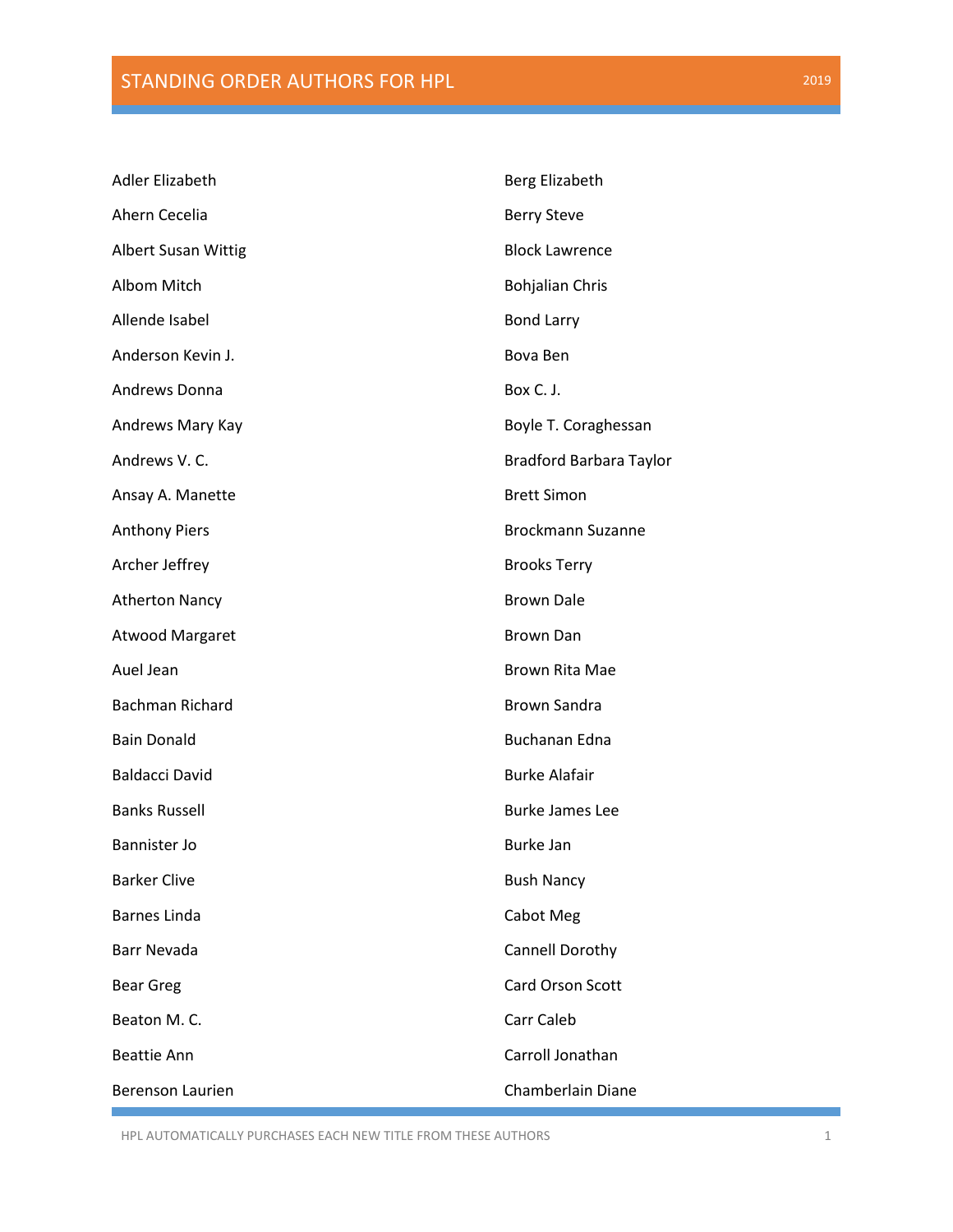| <b>Adler Elizabeth</b>     | Berg Elizabeth           |
|----------------------------|--------------------------|
| Ahern Cecelia              | <b>Berry Steve</b>       |
| <b>Albert Susan Wittig</b> | <b>Block Lawrence</b>    |
| Albom Mitch                | <b>Bohjalian Chris</b>   |
| Allende Isabel             | <b>Bond Larry</b>        |
| Anderson Kevin J.          | Bova Ben                 |
| Andrews Donna              | Box C. J.                |
| Andrews Mary Kay           | Boyle T. Coraghessan     |
| Andrews V. C.              | Bradford Barbara Taylor  |
| Ansay A. Manette           | <b>Brett Simon</b>       |
| <b>Anthony Piers</b>       | <b>Brockmann Suzanne</b> |
| Archer Jeffrey             | <b>Brooks Terry</b>      |
| <b>Atherton Nancy</b>      | <b>Brown Dale</b>        |
| Atwood Margaret            | <b>Brown Dan</b>         |
| Auel Jean                  | <b>Brown Rita Mae</b>    |
| Bachman Richard            | <b>Brown Sandra</b>      |
| <b>Bain Donald</b>         | Buchanan Edna            |
| <b>Baldacci David</b>      | <b>Burke Alafair</b>     |
| <b>Banks Russell</b>       | <b>Burke James Lee</b>   |
| Bannister Jo               | Burke Jan                |
| <b>Barker Clive</b>        | <b>Bush Nancy</b>        |
| Barnes Linda               | Cabot Meg                |
| Barr Nevada                | Cannell Dorothy          |
| <b>Bear Greg</b>           | <b>Card Orson Scott</b>  |
| Beaton M.C.                | Carr Caleb               |
| <b>Beattie Ann</b>         | Carroll Jonathan         |
| Berenson Laurien           | Chamberlain Diane        |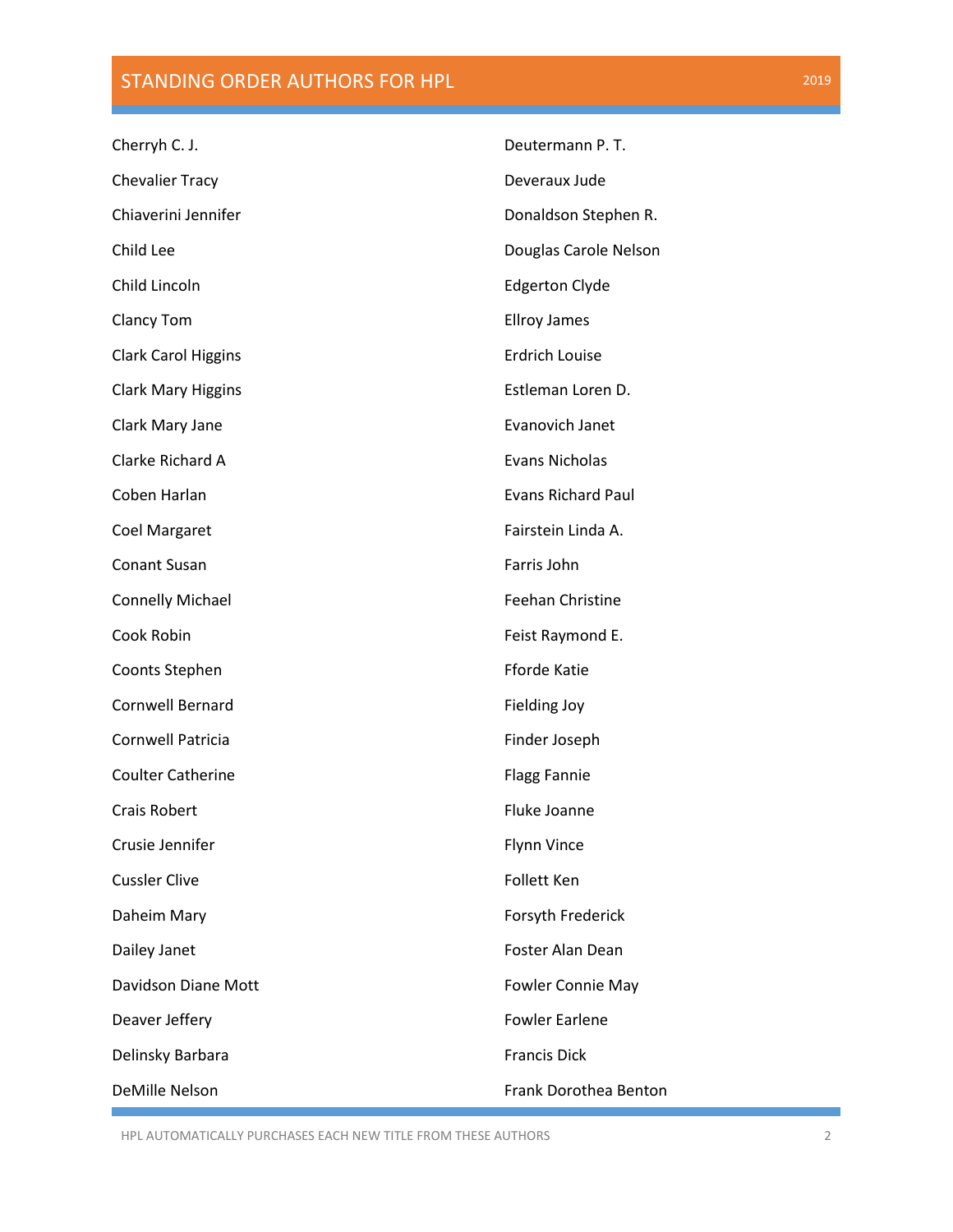| Cherryh C. J.              | Deutermann P.T.           |
|----------------------------|---------------------------|
| <b>Chevalier Tracy</b>     | Deveraux Jude             |
| Chiaverini Jennifer        | Donaldson Stephen R.      |
| Child Lee                  | Douglas Carole Nelson     |
| Child Lincoln              | <b>Edgerton Clyde</b>     |
| <b>Clancy Tom</b>          | <b>Ellroy James</b>       |
| <b>Clark Carol Higgins</b> | <b>Erdrich Louise</b>     |
| <b>Clark Mary Higgins</b>  | Estleman Loren D.         |
| Clark Mary Jane            | Evanovich Janet           |
| Clarke Richard A           | <b>Evans Nicholas</b>     |
| Coben Harlan               | <b>Evans Richard Paul</b> |
| <b>Coel Margaret</b>       | Fairstein Linda A.        |
| <b>Conant Susan</b>        | Farris John               |
| <b>Connelly Michael</b>    | Feehan Christine          |
| Cook Robin                 | Feist Raymond E.          |
| Coonts Stephen             | <b>Fforde Katie</b>       |
| Cornwell Bernard           | <b>Fielding Joy</b>       |
| Cornwell Patricia          | Finder Joseph             |
| <b>Coulter Catherine</b>   | <b>Flagg Fannie</b>       |
| <b>Crais Robert</b>        | <b>Fluke Joanne</b>       |
| Crusie Jennifer            | <b>Flynn Vince</b>        |
| <b>Cussler Clive</b>       | <b>Follett Ken</b>        |
| Daheim Mary                | Forsyth Frederick         |
| Dailey Janet               | <b>Foster Alan Dean</b>   |
| Davidson Diane Mott        | Fowler Connie May         |
| Deaver Jeffery             | <b>Fowler Earlene</b>     |
| Delinsky Barbara           | <b>Francis Dick</b>       |
| DeMille Nelson             | Frank Dorothea Benton     |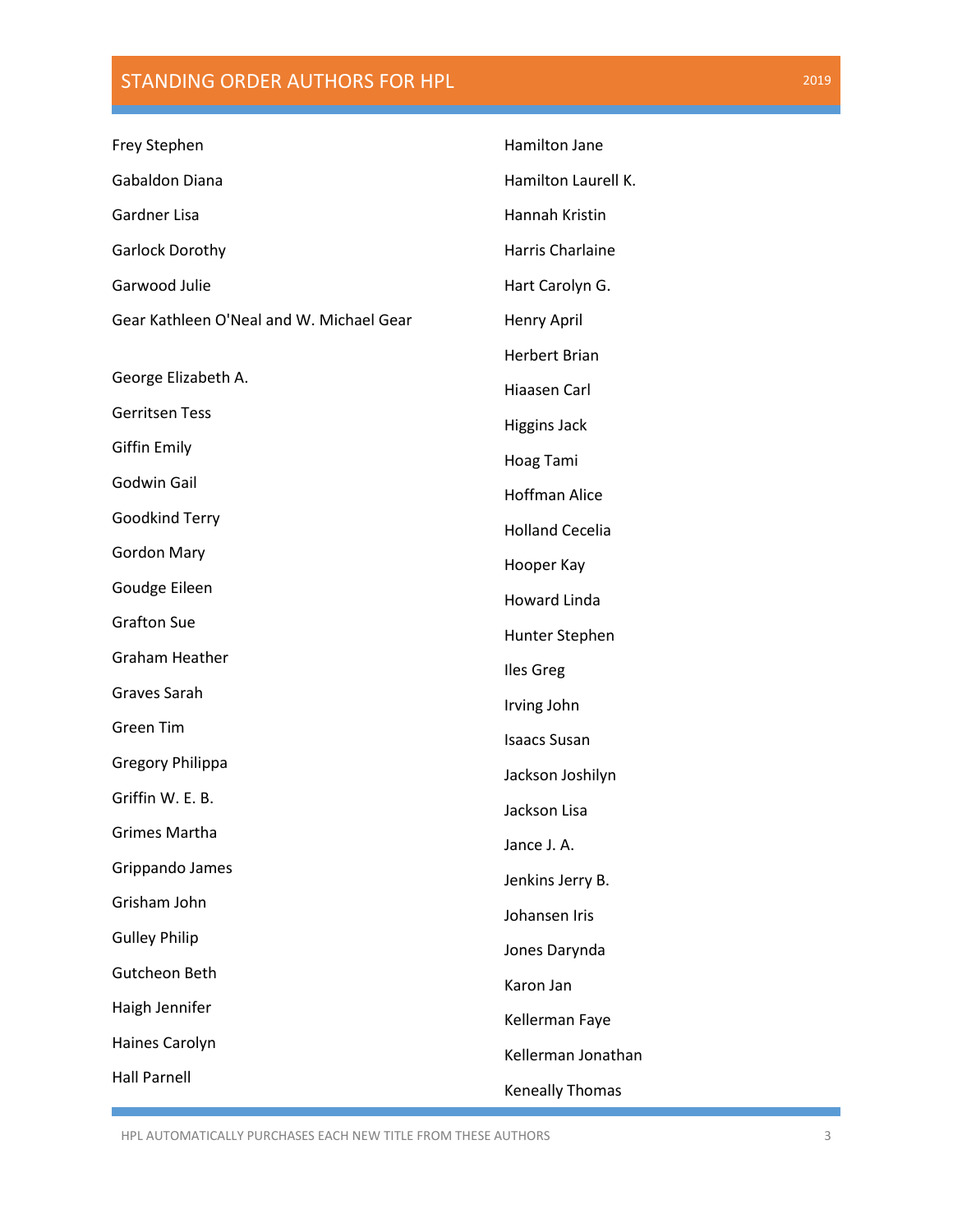| Frey Stephen                             | Hamilton Jane           |
|------------------------------------------|-------------------------|
| Gabaldon Diana                           | Hamilton Laurell K.     |
| Gardner Lisa                             | Hannah Kristin          |
| <b>Garlock Dorothy</b>                   | <b>Harris Charlaine</b> |
| Garwood Julie                            | Hart Carolyn G.         |
| Gear Kathleen O'Neal and W. Michael Gear | Henry April             |
|                                          | <b>Herbert Brian</b>    |
| George Elizabeth A.                      | Hiaasen Carl            |
| <b>Gerritsen Tess</b>                    | <b>Higgins Jack</b>     |
| <b>Giffin Emily</b>                      | Hoag Tami               |
| Godwin Gail                              | <b>Hoffman Alice</b>    |
| Goodkind Terry                           | <b>Holland Cecelia</b>  |
| <b>Gordon Mary</b>                       | Hooper Kay              |
| Goudge Eileen                            | <b>Howard Linda</b>     |
| <b>Grafton Sue</b>                       | Hunter Stephen          |
| Graham Heather                           | <b>Iles Greg</b>        |
| Graves Sarah                             | Irving John             |
| <b>Green Tim</b>                         | <b>Isaacs Susan</b>     |
| <b>Gregory Philippa</b>                  | Jackson Joshilyn        |
| Griffin W. E. B.                         | Jackson Lisa            |
| <b>Grimes Martha</b>                     | Jance J. A.             |
| Grippando James                          | Jenkins Jerry B.        |
| Grisham John                             | Johansen Iris           |
| <b>Gulley Philip</b>                     | Jones Darynda           |
| Gutcheon Beth                            | Karon Jan               |
| Haigh Jennifer                           | Kellerman Faye          |
| Haines Carolyn                           | Kellerman Jonathan      |
| <b>Hall Parnell</b>                      | Keneally Thomas         |
|                                          |                         |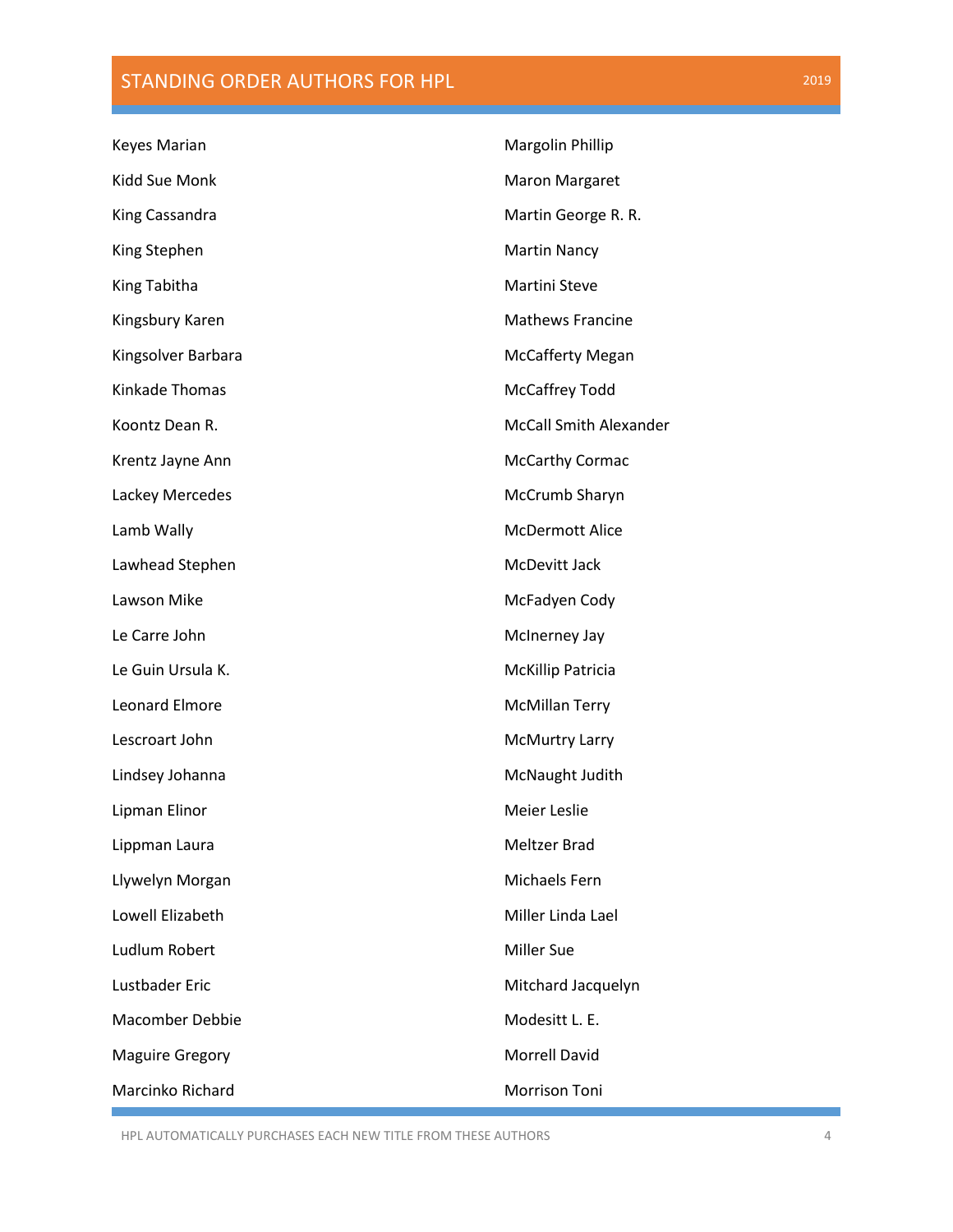| Keyes Marian           | Margolin Phillip              |
|------------------------|-------------------------------|
| Kidd Sue Monk          | <b>Maron Margaret</b>         |
| King Cassandra         | Martin George R. R.           |
| King Stephen           | <b>Martin Nancy</b>           |
| King Tabitha           | Martini Steve                 |
| Kingsbury Karen        | <b>Mathews Francine</b>       |
| Kingsolver Barbara     | <b>McCafferty Megan</b>       |
| Kinkade Thomas         | McCaffrey Todd                |
| Koontz Dean R.         | <b>McCall Smith Alexander</b> |
| Krentz Jayne Ann       | <b>McCarthy Cormac</b>        |
| Lackey Mercedes        | McCrumb Sharyn                |
| Lamb Wally             | <b>McDermott Alice</b>        |
| Lawhead Stephen        | McDevitt Jack                 |
| Lawson Mike            | McFadyen Cody                 |
| Le Carre John          | McInerney Jay                 |
| Le Guin Ursula K.      | <b>McKillip Patricia</b>      |
| <b>Leonard Elmore</b>  | <b>McMillan Terry</b>         |
| Lescroart John         | <b>McMurtry Larry</b>         |
| Lindsey Johanna        | McNaught Judith               |
| Lipman Elinor          | Meier Leslie                  |
| Lippman Laura          | <b>Meltzer Brad</b>           |
| Llywelyn Morgan        | Michaels Fern                 |
| Lowell Elizabeth       | Miller Linda Lael             |
| Ludlum Robert          | <b>Miller Sue</b>             |
| Lustbader Eric         | Mitchard Jacquelyn            |
| <b>Macomber Debbie</b> | Modesitt L. E.                |
| <b>Maguire Gregory</b> | <b>Morrell David</b>          |
| Marcinko Richard       | Morrison Toni                 |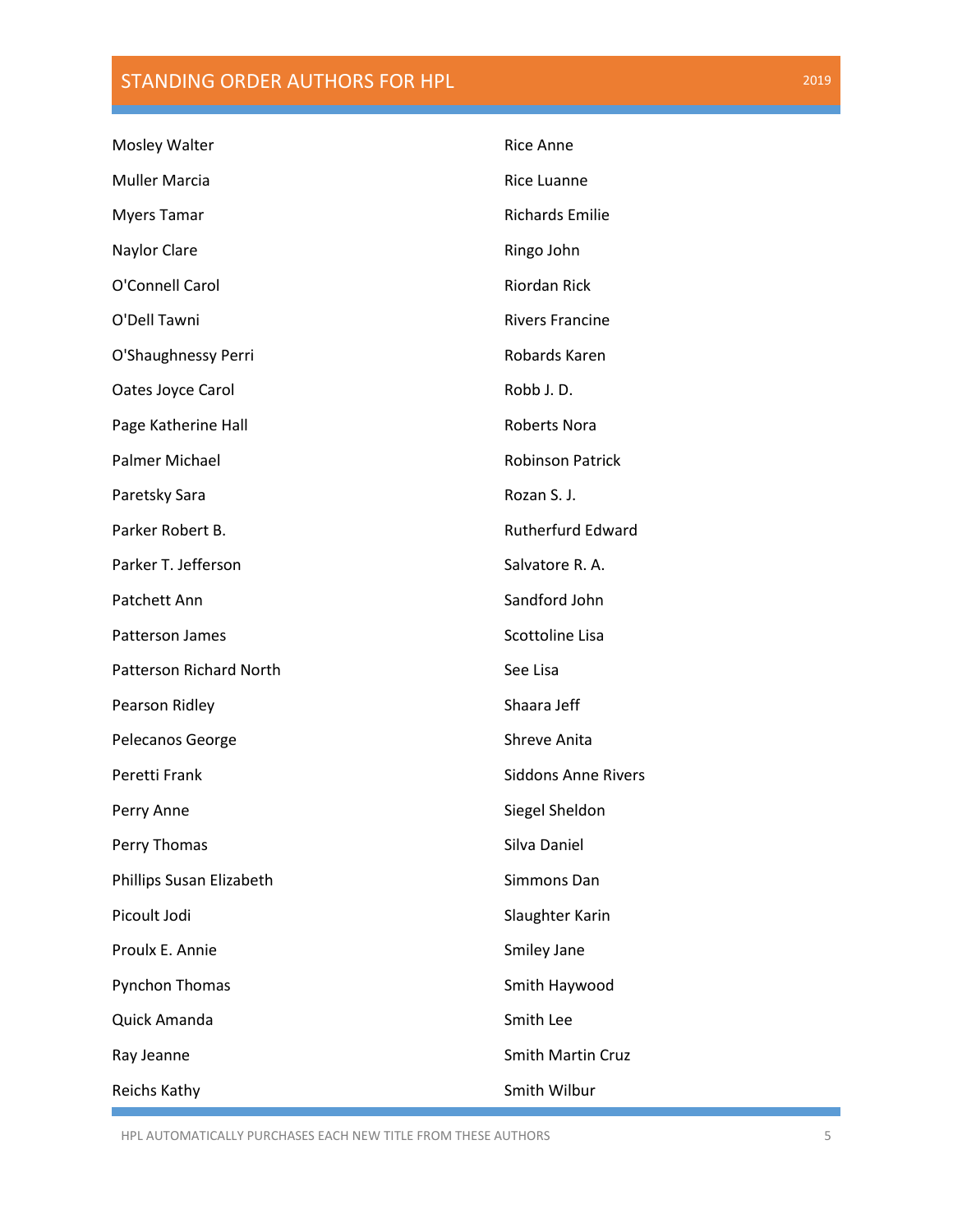| Mosley Walter                  | <b>Rice Anne</b>           |
|--------------------------------|----------------------------|
| <b>Muller Marcia</b>           | <b>Rice Luanne</b>         |
| <b>Myers Tamar</b>             | <b>Richards Emilie</b>     |
| Naylor Clare                   | Ringo John                 |
| O'Connell Carol                | <b>Riordan Rick</b>        |
| O'Dell Tawni                   | <b>Rivers Francine</b>     |
| O'Shaughnessy Perri            | Robards Karen              |
| Oates Joyce Carol              | Robb J.D.                  |
| Page Katherine Hall            | <b>Roberts Nora</b>        |
| Palmer Michael                 | <b>Robinson Patrick</b>    |
| Paretsky Sara                  | Rozan S. J.                |
| Parker Robert B.               | <b>Rutherfurd Edward</b>   |
| Parker T. Jefferson            | Salvatore R. A.            |
| Patchett Ann                   | Sandford John              |
| Patterson James                | Scottoline Lisa            |
| <b>Patterson Richard North</b> | See Lisa                   |
| Pearson Ridley                 | Shaara Jeff                |
| Pelecanos George               | Shreve Anita               |
| Peretti Frank                  | <b>Siddons Anne Rivers</b> |
| Perry Anne                     | Siegel Sheldon             |
| Perry Thomas                   | Silva Daniel               |
| Phillips Susan Elizabeth       | Simmons Dan                |
| Picoult Jodi                   | Slaughter Karin            |
| Proulx E. Annie                | Smiley Jane                |
| Pynchon Thomas                 | Smith Haywood              |
| Quick Amanda                   | Smith Lee                  |
| Ray Jeanne                     | Smith Martin Cruz          |
| Reichs Kathy                   | Smith Wilbur               |